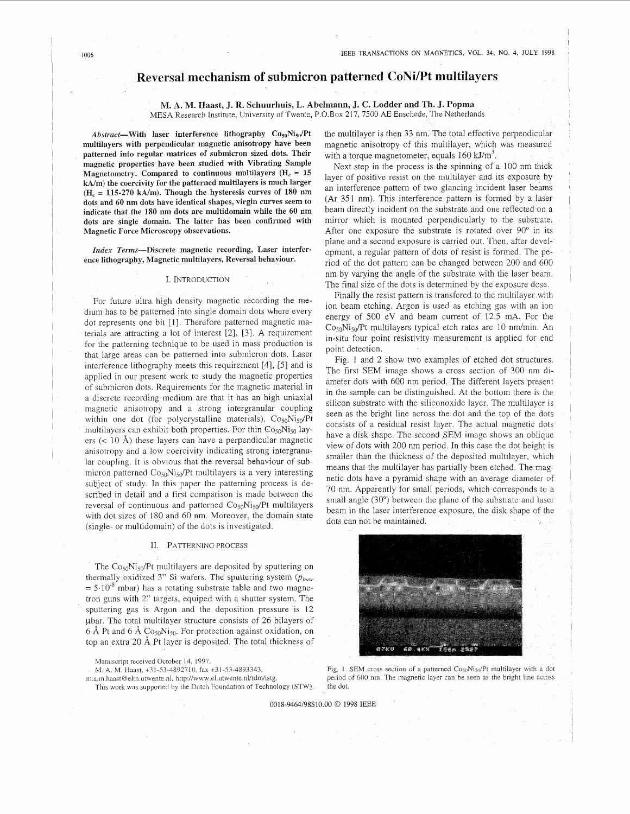## **eversal mechanism of submicron patterned CoNiPt multilayers**

# **M. A. M. Haast, J. R. Schuurhuis, L. Abelmann, J. C. Lodder and Th. J. Popma**

MESA Research Institute, University of Twente, P.O.Box 217, 7500 AE Enschede, The Netherlands

Abstract-With laser interference lithography  $Co_{50}Ni_{50}/Pt$ **multilayers with perpendicular magnetic anisotropy have been patterned into regular matrices of submicron sized dots. Their magnetic properties have been studied with Vibrating Sample Magnetometry.** Compared to continuous multilayers ( $H_c = 15$ **Wm) the coercivity for the patterned multilayers is much larger (H,** = **115-270 kA/m). Though the hysteresis curves of 180 nm dots and 60 nm dots have identical shapes, virgin curves seem to indicate that the 180 nm dots are multidomain while the 60 nm dots are single domain. The latter has been confirmed with Magnetic Force Microscopy observations.** 

*Index* **Terms-Discrete magnetic recording, Laser interference lithography, Magnetic multilayers, Reversal behaviour.** 

### I. INTRODUCTION

For future ultra. high density magnetic recording the medium has to be patterned into single domain dots where every dot represents one bit [I]. Therefore patterned magnetic materials are attracting a lot of interest  $[2]$ ,  $[3]$ . A requirement for the patterning technique to be used in mass production is that large areas can be patterned into submicron dots. Laser interference lithography meets this requirement [4], *[5]* and is applied in our present work to study the magnetic properties of submicron dots. Requirements for the magnetic material in a discrete recording medium are that it has an high uniaxial magnetic anisotropy and a strong intergranular coupling within one dot (for polycrystalline materials).  $Co<sub>50</sub>Ni<sub>50</sub>/Pt$ multilayers can exhibit both properties. For thin  $Co<sub>50</sub>Ni<sub>50</sub>$  layers ( $\lt$  10 Å) these layers can have a perpendicular magnetic anisotropy and a low coercivity indicating strong intergranular coupling. It is obvious that the reversal behaviour of submicron patterned  $Co<sub>50</sub>Ni<sub>50</sub>/Pt$  multilayers is a very interesting subject of study. In this paper the patterning process is described in detail and a first comparison is made between the reversal of continuous and patterned  $Co<sub>50</sub>Ni<sub>50</sub>/Pt$  multilayers with dot sizes of 180 and 60 nm. Moreover, the domain state (single- or multidomain) of the dots is investigated.

#### 11. PATTERNlNG PROCESS

The  $Co<sub>50</sub>Ni<sub>50</sub>/Pt$  multilayers are deposited by sputtering on thermally oxidized 3" Si wafers. The sputtering system ( $p_{\text{base}}$ )  $= 5.10<sup>-8</sup>$  mbar) has a rotating substrate table and two magnetron guns with 2" targets, equiped with a shutter system. The sputtering gas is Argon and the deposition pressure is 12 ybar. The total multilayer structure consists of 26 bilayers of 6 Å Pt and 6 Å  $Co<sub>50</sub>Ni<sub>50</sub>$ . For protection against oxidation, on top an extra 20 A Pt layer is deposited. The total thickness of

Manuscript received October 14, 1997.

M. A. M. Haast, +31-53-3892710. fax +31-53-4893343,

This work was supported by the Dutch Foundation of Technology (STW). m.a.m.haast@eltn.utwente.nl, http://www.el.utwente.nl/tdm/istg.

the multilayer is then 33 nm. The total effective perpendicular magnetic anisotropy of this multilayer, which was measured with a torque magnetometer, equals  $160 \text{ kJ/m}^3$ .

Next step in the process is the spinning of a 100 nm thick layer of positive resist on the multilayer and its exposure by an interference pattern of two glancing incident laser beams (Ar 351 nm). This interference pattern is formed by a laser beam directly incident on the substrate and one reflected on a mirror which is mounted perpendicularly to the substrate. After one exposure the substrate is rotated over 90° in its plane and a second exposure is carried out. Then, after development, a regular pattern of dots of resist is formed The period of the dot pattern can be changed between 200 and 600 nm by varying the angle of the substrate with the laser beam. The final size of the dots is determined by the exposure dose.

Finally the resist pattern is transfered to the multilayer with ion beam etching. Argon is used as etching gas with an ion energy of 500 eV and beam current of 12.5 mA. For the  $Co<sub>50</sub>Ni<sub>50</sub>/Pt$  multilayers typical etch rates are 10 nm/min. An in-situ four point resistivity measurement is applied for end point detection.

Fig. 1 and 2 show two examples of etched dot structures The first SEM image shows a cross section of 300 nm diameter dots with 600 nm period. The different layers present in the sample can be distinguished. At the bottom there is the silicon substrate with the siliconoxide layer. The multilayer is seen as the bright line across the dot and the top of the dots consists of a residual resist layer. The actual magnetic dots have a disk shape. The second SEM image shows an oblique view of dots with 200 nm period In this case the dot height is smaller than the thickness of the deposited multilayer, which means that the multilayer has partially been etched. The magnetic dots have a pyramid shape with an average diameter of 70 nm. Apparently for small periods, which corresponds to a small angle (30°) between the plane of the substrate and laser beam in the laser interference exposure, the disk shape of the dots can not be maintained.



Fig. 1. SEM cross section of a patterned Co<sub>50</sub>Ni<sub>50</sub>/Pt multilayer with a dot period of 600 nm. The magnetic layer can be seen as the bright line across the dot

**0018-9464/98\$10.00** *0* **1998 IEEE**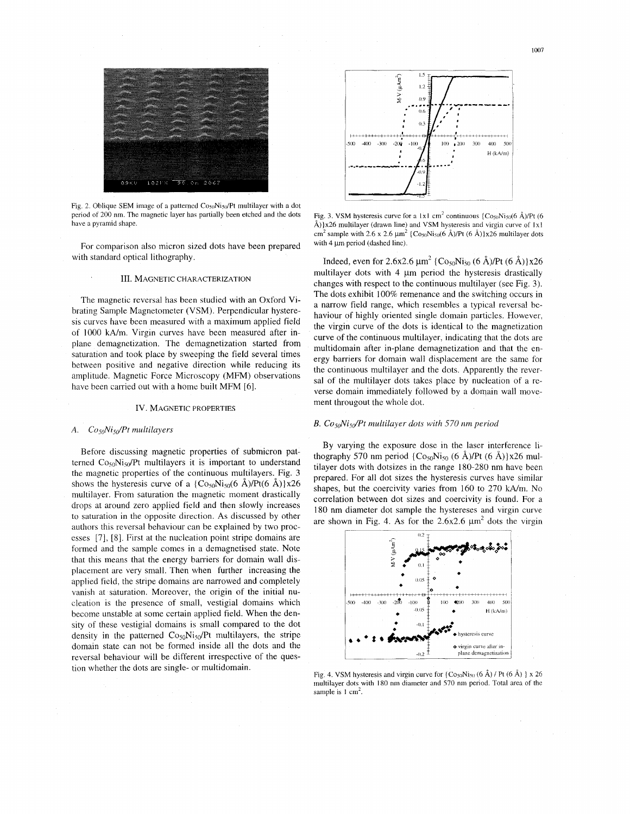

Fig. 2. Oblique SEM image of a patterned  $\cos_0$ Ni<sub>50</sub>/Pt multilayer with a dot period of 200 **nm.** The magnetic layer has partially been etched and the dots have a pyramid shape.

For comparison also micron sized dots have been prepared with standard optical lithography.

#### III. MAGNETIC CHARACTERIZATION

The magnetic reversal has been studied with an Oxford Vibrating Sample Magnetometer (VSM). Perpendicular hysteresis curves have been measured with a maximum applied field of 1000 kA/m. Virgin curves have been measured after inplane demagnetization. The demagnetization started from saturation and took place by sweeping the field several times between positive and negative direction while reducing its amplitude. Magnetic Force Microscopy (MFM) observations have been carried out with a home built MFM [6].

#### IV. MAGNETIC PROPERTIES

### *A. Co&i,dPt multilayers*

Before discussing magnetic properties of submicron patterned  $Co<sub>50</sub>Ni<sub>50</sub>/Pt$  multilayers it is important to understand the magnetic properties of the continuous multilayers. Fig. 3 shows the hysteresis curve of a  $\{Co_{50}Ni_{50}(6 \text{ Å})/Pt(6 \text{ Å})\}x26$ multilayer. From saturation the magnetic moment drastically drops at around zero applied field and then slowly increases to saturation in the opposite direction. As discussed by other authors this reversal behaviour can be explained by two processes *[7],* [8]. First at the nucleation point stripe domains are formed and the sample comes in a demagnetised state. Note that this means that the energy barriers for domain wall displacement are very small. Then when further increasing the applied field, the stripe domains are narrowed and completely vanish at saturation. Moreover, the origin of the initial nucleation is the presence of small, vestigial domains which become unstable at some certain applied field. When the density of these vestigial domains is small compared to the dot density in the patterned  $Co<sub>50</sub>Ni<sub>50</sub>/Pt$  multilayers, the stripe domain state can not be formed inside all the dots and the reversal behaviour will be different irrespective of the question whether the dots are single- or multidomain.



Fig. 3. VSM hysteresis curve for a  $1 \times 1$  cm<sup>2</sup> continuous  $\{Cos_0Nis_0(6 \text{ Å})/Pt\}$  (6) Å)} $x26$  multilayer (drawn line) and VSM hysteresis and virgin curve of 1x1 cm<sup>2</sup> sample with 2.6 x 2.6  $\mu$ m<sup>2</sup> {Co<sub>50</sub>Ni<sub>50</sub>(6 Å)/Pt (6 Å)}x26 multilayer dots with 4 um period (dashed line).

Indeed, even for 2.6x2.6  $\mu$ m<sup>2</sup> { Co<sub>50</sub>Ni<sub>50</sub> (6 Å)/Pt (6 Å) }x26 multilayer dots with  $4 \mu m$  period the hysteresis drastically changes with respect to the continuous multilayer (see Fig. 3). The dots exhibit 100% remenance and the switching occurs in a narrow field range, which resembles a typical reversal behaviour of highly oriented single domain particles. However, the virgin curve of the dots is identical to the magnetization curve of the continuous multilayer, indicating that the dots are multidomain after in-plane demagnetization and that the energy barriers for domain wall displacement are the same for the continuous multilayer and the dots. Apparently the reversal of the multilayer dots takes place by nucleation of a reverse domain immediately followed by a domain wall movement througout the whole dot.

#### *B. Co5&JiSdPt multiluyer dots with 570 nm period*

By varying the exposure dose in the laser interference 11 thography 570 nm period  $\{ \text{Co}_{50} \text{Ni}_{50}$  (6 Å)/Pt (6 Å)} $x26$  multilayer dots with dotsizes in the range 180-280 nm have been prepared. For all dot sizes the hysteresis curves have similar shapes, but the coercivity varies from 160 to 270 kA/m. No correlation between dot sizes and coercivity is found. For a 180 nm diameter dot sample the hystereses and virgin curve are shown in Fig. 4. As for the  $2.6x2.6 \mu m^2$  dots the virgin



Fig. 4. VSM hysteresis and virgin curve for { $Co<sub>50</sub>Ni<sub>50</sub>$  (6 Å) / Pt (6 Å) } x 26 multilayer dots with I80 nm diameter and 570 nm period. Total area of the sample is  $1 \text{ cm}^2$ .